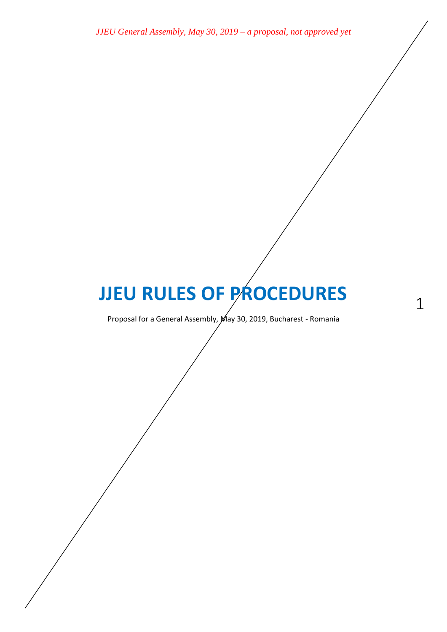# **JJEU RULES OF PROCEDURES**

1

Proposal for a General Assembly, May 30, 2019, Bucharest - Romania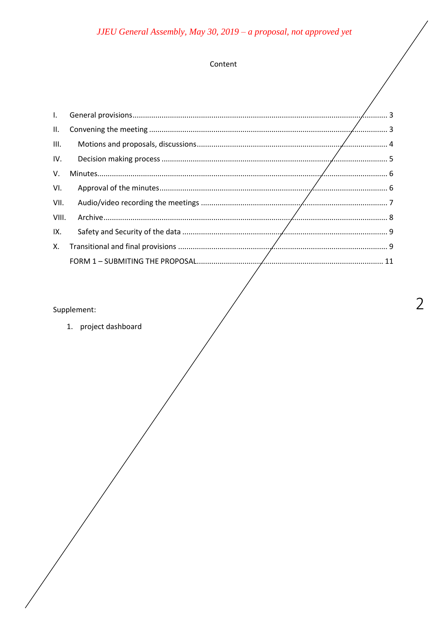## Content

| $\mathbf{L}$ |  |
|--------------|--|
| Ш.           |  |
| III.         |  |
| IV.          |  |
| V.           |  |
| VI.          |  |
| VII.         |  |
| VIII.        |  |
| IX.          |  |
| Х.           |  |
|              |  |
|              |  |

## Supplement:

1. project dashboard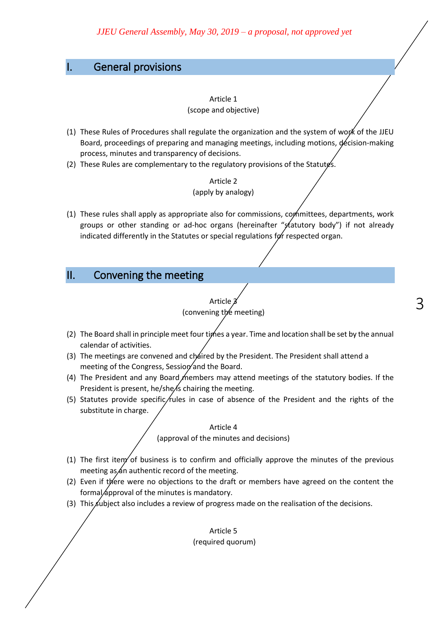## <span id="page-2-0"></span>I. General provisions

#### Article 1 (scope and objective)

- (1) These Rules of Procedures shall regulate the organization and the system of work of the JJEU Board, proceedings of preparing and managing meetings, including motions, decision-making process, minutes and transparency of decisions.
- (2) These Rules are complementary to the regulatory provisions of the Statutes.

## Article 2 (apply by analogy)

(1) These rules shall apply as appropriate also for commissions, committees, departments, work groups or other standing or ad-hoc organs (hereinafter "statutory body") if not already indicated differently in the Statutes or special regulations for respected organ.

## <span id="page-2-1"></span>II. Convening the meeting

## Article 3 (convening the meeting)

- (2) The Board shall in principle meet four times a year. Time and location shall be set by the annual calendar of activities.
- (3) The meetings are convened and chaired by the President. The President shall attend a meeting of the Congress, Session and the Board.
- (4) The President and any Board members may attend meetings of the statutory bodies. If the President is present, he/she/s chairing the meeting.
- (5) Statutes provide specific/rules in case of absence of the President and the rights of the substitute in charge.

## Article 4 (approval of the minutes and decisions)

- (1) The first item of business is to confirm and officially approve the minutes of the previous meeting as  $\measuredangle$ n authentic record of the meeting.
- (2) Even if there were no objections to the draft or members have agreed on the content the formal *approval* of the minutes is mandatory.
- (3) This subject also includes a review of progress made on the realisation of the decisions.

Article 5 (required quorum)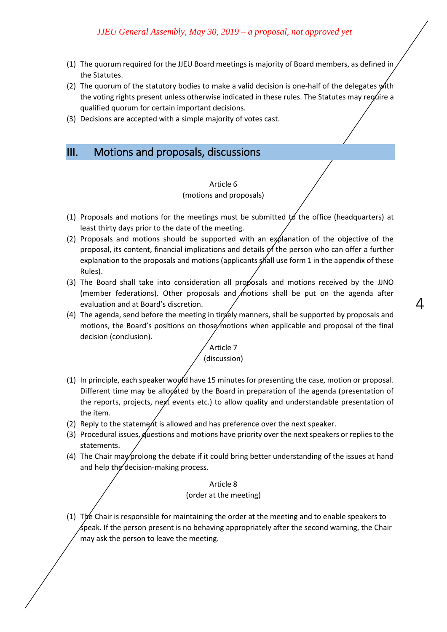- (1) The quorum required for the JJEU Board meetings is majority of Board members, as defined in the Statutes.
- (2) The quorum of the statutory bodies to make a valid decision is one-half of the delegates  $\psi$ ith the voting rights present unless otherwise indicated in these rules. The Statutes may regulie a qualified quorum for certain important decisions.
- (3) Decisions are accepted with a simple majority of votes cast.

## <span id="page-3-0"></span>III. Motions and proposals, discussions

#### Article 6 (motions and proposals)

- (1) Proposals and motions for the meetings must be submitted  $t$  the office (headquarters) at least thirty days prior to the date of the meeting.
- (2) Proposals and motions should be supported with an explanation of the objective of the proposal, its content, financial implications and details of the person who can offer a further explanation to the proposals and motions (applicants shall use form 1 in the appendix of these Rules).
- (3) The Board shall take into consideration all proposals and motions received by the JJNO (member federations). Other proposals and *m*otions shall be put on the agenda after evaluation and at Board's discretion.

 $\varDelta$ 

(4) The agenda, send before the meeting in timely manners, shall be supported by proposals and motions, the Board's positions on those/motions when applicable and proposal of the final decision (conclusion).

## Article 7 (discussion)

- (1) In principle, each speaker would have 15 minutes for presenting the case, motion or proposal. Different time may be allocated by the Board in preparation of the agenda (presentation of the reports, projects, next events etc.) to allow quality and understandable presentation of the item.
- (2) Reply to the statement is allowed and has preference over the next speaker.
- (3) Procedural issues, questions and motions have priority over the next speakers or replies to the statements.
- (4) The Chair may prolong the debate if it could bring better understanding of the issues at hand and help the decision-making process.

Article 8 (order at the meeting)

(1) The Chair is responsible for maintaining the order at the meeting and to enable speakers to  $\measuredangle$ peak. If the person present is no behaving appropriately after the second warning, the Chair may ask the person to leave the meeting.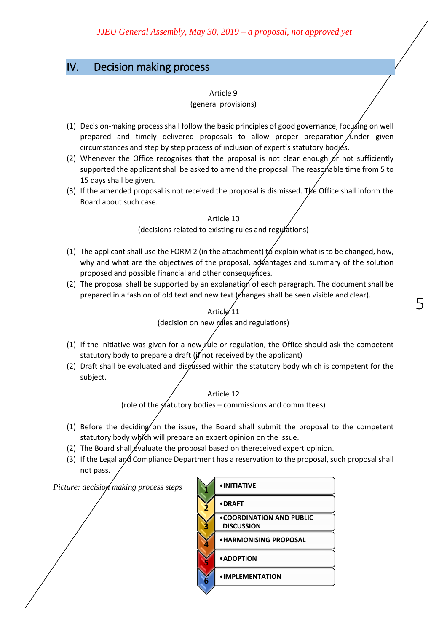## <span id="page-4-0"></span>IV. Decision making process

#### Article 9

#### (general provisions)

- (1) Decision-making process shall follow the basic principles of good governance, focusing on well prepared and timely delivered proposals to allow proper preparation under given circumstances and step by step process of inclusion of expert's statutory bodies.
- (2) Whenever the Office recognises that the proposal is not clear enough  $\beta r$  not sufficiently supported the applicant shall be asked to amend the proposal. The reasonable time from 5 to 15 days shall be given.
- (3) If the amended proposal is not received the proposal is dismissed. The Office shall inform the Board about such case.

#### Article 10

(decisions related to existing rules and regulations)

- (1) The applicant shall use the FORM 2 (in the attachment)  $\sharp$  explain what is to be changed, how, why and what are the objectives of the proposal, advantages and summary of the solution proposed and possible financial and other consequences.
- (2) The proposal shall be supported by an explanation of each paragraph. The document shall be prepared in a fashion of old text and new text  $(\ell_{\text{hanges}})$  shall be seen visible and clear).



- (1) If the initiative was given for a new rule or regulation, the Office should ask the competent statutory body to prepare a draft ( $if'$  not received by the applicant)
- (2) Draft shall be evaluated and disgussed within the statutory body which is competent for the subject.

#### Article 12

(role of the statutory bodies – commissions and committees)

- (1) Before the deciding on the issue, the Board shall submit the proposal to the competent statutory body which will prepare an expert opinion on the issue.
- (2) The Board shall evaluate the proposal based on thereceived expert opinion.

*Picture: decision making process steps* **1**

(3) If the Legal and Compliance Department has a reservation to the proposal, such proposal shall not pass.

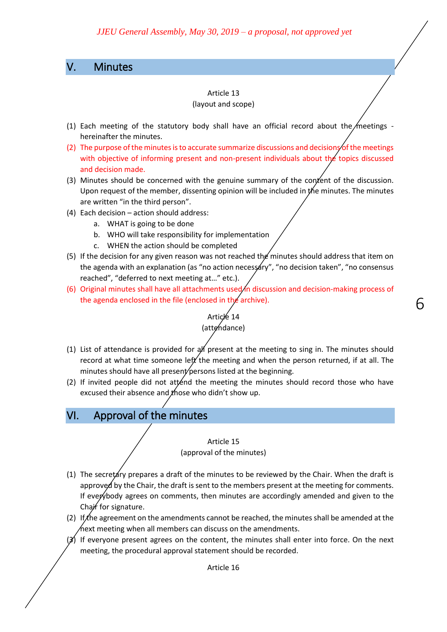## <span id="page-5-0"></span>V. Minutes

#### Article 13

#### (layout and scope)

- (1) Each meeting of the statutory body shall have an official record about the meetings hereinafter the minutes.
- (2) The purpose of the minutes is to accurate summarize discussions and decisions of the meetings with objective of informing present and non-present individuals about the topics discussed and decision made.
- (3) Minutes should be concerned with the genuine summary of the content of the discussion. Upon request of the member, dissenting opinion will be included in the minutes. The minutes are written "in the third person".
- (4) Each decision action should address:
	- a. WHAT is going to be done
	- b. WHO will take responsibility for implementation
	- c. WHEN the action should be completed
- (5) If the decision for any given reason was not reached the minutes should address that item on the agenda with an explanation (as "no action necessary", "no decision taken", "no consensus reached", "deferred to next meeting at…" etc.).
- (6) Original minutes shall have all attachments used/in discussion and decision-making process of the agenda enclosed in the file (enclosed in the archive).

6

## Article 14 (attendance)

- (1) List of attendance is provided for  $a$  present at the meeting to sing in. The minutes should record at what time someone left the meeting and when the person returned, if at all. The minutes should have all present persons listed at the beginning.
- (2) If invited people did not attend the meeting the minutes should record those who have excused their absence and  $x$  hose who didn't show up.

## <span id="page-5-1"></span>VI. Approval of the minutes

#### Article 15 (approval of the minutes)

- (1) The secretary prepares a draft of the minutes to be reviewed by the Chair. When the draft is approved by the Chair, the draft is sent to the members present at the meeting for comments. If everybody agrees on comments, then minutes are accordingly amended and given to the Chair for signature.
- (2) If the agreement on the amendments cannot be reached, the minutes shall be amended at the  $\sqrt{\pi}$ ext meeting when all members can discuss on the amendments.
- $(3)$  If everyone present agrees on the content, the minutes shall enter into force. On the next meeting, the procedural approval statement should be recorded.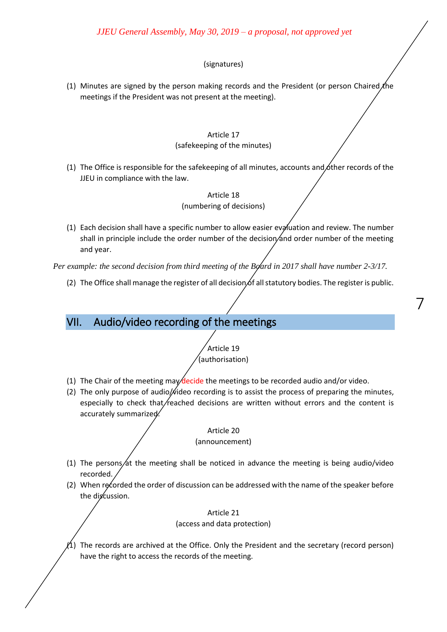#### (signatures)

(1) Minutes are signed by the person making records and the President (or person Chaired the meetings if the President was not present at the meeting).

#### Article 17

#### (safekeeping of the minutes)

(1) The Office is responsible for the safekeeping of all minutes, accounts and other records of the JJEU in compliance with the law.

#### Article 18 (numbering of decisions)

(1) Each decision shall have a specific number to allow easier evaluation and review. The number shall in principle include the order number of the decision and order number of the meeting and year.

*Per example: the second decision from third meeting of the Board in 2017 shall have number 2-3/17.* 

(2) The Office shall manage the register of all decision of all statutory bodies. The register is public.

7

## <span id="page-6-0"></span>VII. Audio/video recording of the meetings

## Article 19 (authorisation)

- (1) The Chair of the meeting may decide the meetings to be recorded audio and/or video.
- (2) The only purpose of audio/ $\hat{\psi}$ ideo recording is to assist the process of preparing the minutes, especially to check that  $/$  reached decisions are written without errors and the content is accurately summarized.

#### Article 20 (announcement)

- (1) The persons/at the meeting shall be noticed in advance the meeting is being audio/video recorded.
- (2) When recorded the order of discussion can be addressed with the name of the speaker before the discussion.

Article 21 (access and data protection)

 $\Lambda$ ) The records are archived at the Office. Only the President and the secretary (record person) have the right to access the records of the meeting.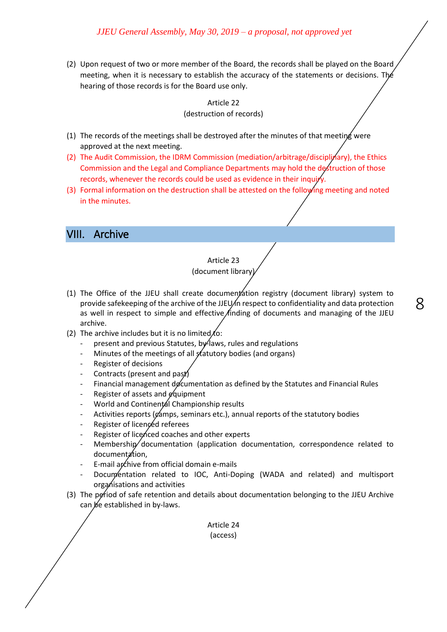(2) Upon request of two or more member of the Board, the records shall be played on the Board meeting, when it is necessary to establish the accuracy of the statements or decisions. The hearing of those records is for the Board use only.

#### Article 22 (destruction of records)

- (1) The records of the meetings shall be destroyed after the minutes of that meeting were approved at the next meeting.
- (2) The Audit Commission, the IDRM Commission (mediation/arbitrage/disciplinary), the Ethics Commission and the Legal and Compliance Departments may hold the destruction of those records, whenever the records could be used as evidence in their inquiry.
- (3) Formal information on the destruction shall be attested on the following meeting and noted in the minutes.

## <span id="page-7-0"></span>VIII. Archive

#### Article 23 (document library)

(1) The Office of the JJEU shall create document ation registry (document library) system to provide safekeeping of the archive of the JJEU/in respect to confidentiality and data protection as well in respect to simple and effective finding of documents and managing of the JJEU archive.

8

- (2) The archive includes but it is no limited  $t$ o:
	- present and previous Statutes, by laws, rules and regulations
	- Minutes of the meetings of all statutory bodies (and organs)
	- Register of decisions
	- Contracts (present and past)
	- Financial management documentation as defined by the Statutes and Financial Rules
	- Register of assets and  $\cancel{e}$  quipment
	- World and Continental Championship results
	- Activities reports (camps, seminars etc.), annual reports of the statutory bodies
	- Register of licenced referees
	- Register of licenced coaches and other experts
	- $M$ embership documentation (application documentation, correspondence related to documentation,
	- E-mail archive from official domain e-mails
	- Documentation related to IOC, Anti-Doping (WADA and related) and multisport organisations and activities
- (3) The period of safe retention and details about documentation belonging to the JJEU Archive can be established in by-laws.

Article 24 (access)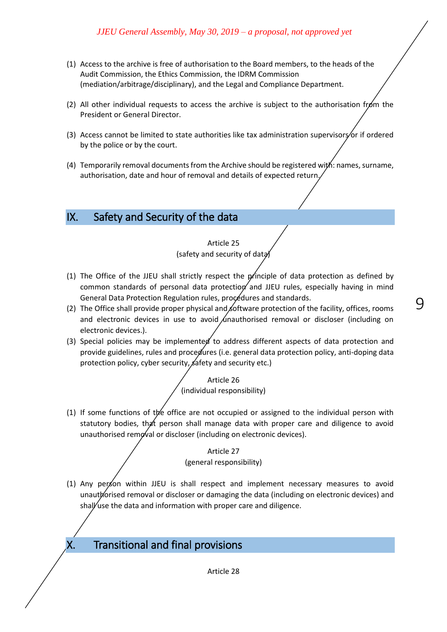- (1) Access to the archive is free of authorisation to the Board members, to the heads of the Audit Commission, the Ethics Commission, the IDRM Commission (mediation/arbitrage/disciplinary), and the Legal and Compliance Department.
- (2) All other individual requests to access the archive is subject to the authorisation from the President or General Director.
- (3) Access cannot be limited to state authorities like tax administration supervisors or if ordered by the police or by the court.
- (4) Temporarily removal documents from the Archive should be registered with: names, surname, authorisation, date and hour of removal and details of expected return.

## <span id="page-8-0"></span>IX. Safety and Security of the data

#### Article 25

(safety and security of data)

(1) The Office of the JJEU shall strictly respect the principle of data protection as defined by common standards of personal data protection and JJEU rules, especially having in mind General Data Protection Regulation rules, procedures and standards.

9

- (2) The Office shall provide proper physical and of formation of the facility, offices, rooms and electronic devices in use to avoid  $\ell$ nauthorised removal or discloser (including on electronic devices.).
- (3) Special policies may be implemented to address different aspects of data protection and provide guidelines, rules and procedures (i.e. general data protection policy, anti-doping data protection policy, cyber security, safety and security etc.)

Article 26 (individual responsibility)

(1) If some functions of the office are not occupied or assigned to the individual person with statutory bodies, that person shall manage data with proper care and diligence to avoid unauthorised removal or discloser (including on electronic devices).

> Article 27 (general responsibility)

- (1) Any person within JJEU is shall respect and implement necessary measures to avoid unauthorised removal or discloser or damaging the data (including on electronic devices) and shall use the data and information with proper care and diligence.
- <span id="page-8-1"></span>X. Transitional and final provisions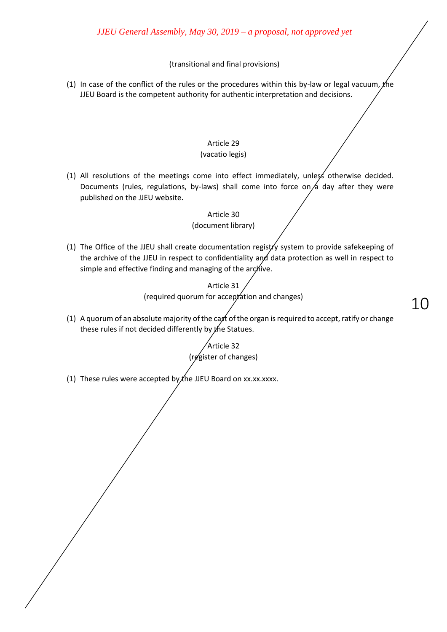#### (transitional and final provisions)

(1) In case of the conflict of the rules or the procedures within this by-law or legal vacuum, the JJEU Board is the competent authority for authentic interpretation and decisions.

#### Article 29 (vacatio legis)

(1) All resolutions of the meetings come into effect immediately, unless otherwise decided. Documents (rules, regulations, by-laws) shall come into force on  $\alpha$  day after they were published on the JJEU website.

> Article 30 (document library)

(1) The Office of the JJEU shall create documentation registry system to provide safekeeping of the archive of the JJEU in respect to confidentiality and data protection as well in respect to simple and effective finding and managing of the archive.

> Article 31 (required quorum for acceptation and changes)

(1) A quorum of an absolute majority of the cast of the organ is required to accept, ratify or change these rules if not decided differently by the Statues.

10

Article 32 (register of changes)

(1) These rules were accepted by  $x$  the JJEU Board on xx.xx.xxxx.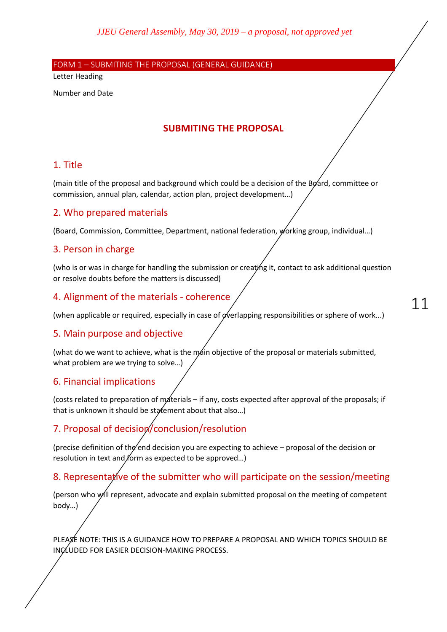<span id="page-10-0"></span>FORM 1 – SUBMITING THE PROPOSAL (GENERAL GUIDANCE)

Letter Heading

Number and Date

## **SUBMITING THE PROPOSAL**

## 1. Title

(main title of the proposal and background which could be a decision of the Board, committee or commission, annual plan, calendar, action plan, project development…)

## 2. Who prepared materials

(Board, Commission, Committee, Department, national federation, working group, individual…)

#### 3. Person in charge

(who is or was in charge for handling the submission or creating it, contact to ask additional question or resolve doubts before the matters is discussed)

## 4. Alignment of the materials - coherence

(when applicable or required, especially in case of  $\alpha$  erlapping responsibilities or sphere of work...)

## 5. Main purpose and objective

(what do we want to achieve, what is the main objective of the proposal or materials submitted, what problem are we trying to solve…)

## 6. Financial implications

(costs related to preparation of materials – if any, costs expected after approval of the proposals; if that is unknown it should be statement about that also...)

## 7. Proposal of decision/conclusion/resolution

(precise definition of the end decision you are expecting to achieve – proposal of the decision or resolution in text and form as expected to be approved...)

## 8. Representative of the submitter who will participate on the session/meeting

(person who will represent, advocate and explain submitted proposal on the meeting of competent body…)

PLEASE NOTE: THIS IS A GUIDANCE HOW TO PREPARE A PROPOSAL AND WHICH TOPICS SHOULD BE INCLUDED FOR EASIER DECISION-MAKING PROCESS.